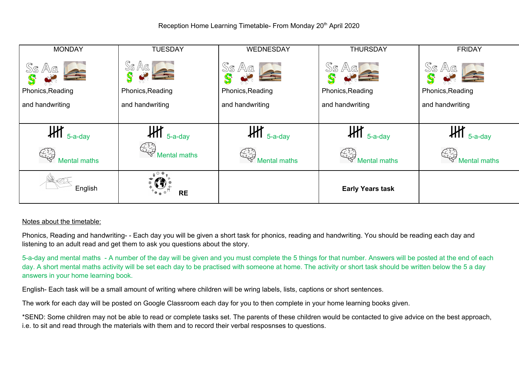

## Notes about the timetable:

Phonics, Reading and handwriting- - Each day you will be given a short task for phonics, reading and handwriting. You should be reading each day and listening to an adult read and get them to ask you questions about the story.

5-a-day and mental maths - A number of the day will be given and you must complete the 5 things for that number. Answers will be posted at the end of each day. A short mental maths activity will be set each day to be practised with someone at home. The activity or short task should be written below the 5 a day answers in your home learning book.

English- Each task will be a small amount of writing where children will be wring labels, lists, captions or short sentences.

The work for each day will be posted on Google Classroom each day for you to then complete in your home learning books given.

\*SEND: Some children may not be able to read or complete tasks set. The parents of these children would be contacted to give advice on the best approach, i.e. to sit and read through the materials with them and to record their verbal resposnses to questions.